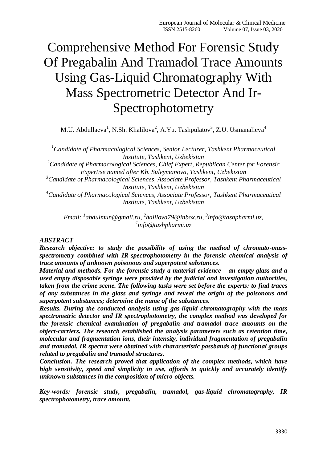# Comprehensive Method For Forensic Study Of Pregabalin And Tramadol Trace Amounts Using Gas-Liquid Chromatography With Mass Spectrometric Detector And Ir-Spectrophotometry

M.U. Abdullaeva<sup>1</sup>, N.Sh. Khalilova<sup>2</sup>, A.Yu. Tashpulatov<sup>3</sup>, Z.U. Usmanalieva<sup>4</sup>

*<sup>1</sup>Candidate of Pharmacological Sciences, Senior Lecturer, Tashkent Pharmaceutical Institute, Tashkent, Uzbekistan*

*<sup>2</sup>Candidate of Pharmacological Sciences, Chief Expert, Republican Center for Forensic Expertise named after Kh. Suleymanova, Tashkent, Uzbekistan*

*<sup>3</sup>Candidate of Pharmacological Sciences, Associate Professor, Tashkent Pharmaceutical Institute, Tashkent, Uzbekistan*

*<sup>4</sup>Candidate of Pharmacological Sciences, Associate Professor, Tashkent Pharmaceutical Institute, Tashkent, Uzbekistan*

*Email: <sup>1</sup> [abdulmun@gmail.ru,](mailto:abdulmun@gmail.ru) 2 [halilova79@inbox.ru,](mailto:halilova79@inbox.ru) 3 [info@tashpharmi.uz,](mailto:info@tashpharmi.uz) 4 [info@tashpharmi.uz](mailto:info@tashpharmi.uz)*

#### *ABSTRACT*

*Research objective: to study the possibility of using the method of chromato-massspectrometry combined with IR-spectrophotometry in the forensic chemical analysis of trace amounts of unknown poisonous and superpotent substances.*

*Material and methods. For the forensic study a material evidence – an empty glass and a used empty disposable syringe were provided by the judicial and investigation authorities, taken from the crime scene. The following tasks were set before the experts: to find traces of any substances in the glass and syringe and reveal the origin of the poisonous and superpotent substances; determine the name of the substances.* 

*Results. During the conducted analysis using gas-liquid chromatography with the mass spectrometric detector and IR spectrophotometry, the complex method was developed for the forensic chemical examination of pregabalin and tramadol trace amounts on the object-carriers. The research established the analysis parameters such as retention time, molecular and fragmentation ions, their intensity, individual fragmentation of pregabalin and tramadol. IR spectra were obtained with characteristic passbands of functional groups related to pregabalin and tramadol structures.* 

*Conclusion. The research proved that application of the complex methods, which have high sensitivity, speed and simplicity in use, affords to quickly and accurately identify unknown substances in the composition of micro-objects.*

*Key-words: forensic study, pregabalin, tramadol, gas-liquid chromatography, IR spectrophotometry, trace amount.*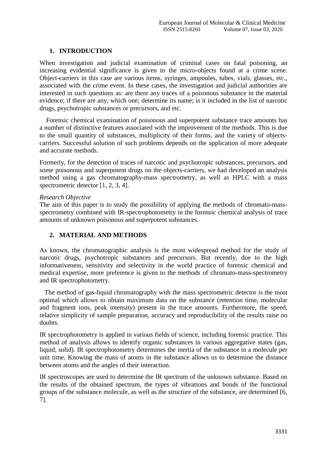#### **1. INTRODUCTION**

When investigation and judicial examination of criminal cases on fatal poisoning, an increasing evidential significance is given to the micro-objects found at a crime scene. Object-carriers in this case are various items, syringes, ampoules, tubes, vials, glasses, etc., associated with the crime event. In these cases, the investigation and judicial authorities are interested in such questions as: are there any traces of a poisonous substance in the material evidence; if there are any, which one; determine its name; is it included in the list of narcotic drugs, psychotropic substances or precursors, and etc.

 Forensic chemical examination of poisonous and superpotent substance trace amounts has a number of distinctive features associated with the improvement of the methods. This is due to the small quantity of substances, multiplicity of their forms, and the variety of objectscarriers. Successful solution of such problems depends on the application of more adequate and accurate methods.

Formerly, for the detection of traces of narcotic and psychotropic substances, precursors, and some poisonous and superpotent drugs on the objects-carriers, we had developed an analysis method using a gas chromatography-mass spectrometry, as well as HPLC with a mass spectrometric detector [1, 2, 3, 4].

#### *Research Objective*

The aim of this paper is to study the possibility of applying the methods of chromato-massspectrometry combined with IR-spectrophotometry in the forensic chemical analysis of trace amounts of unknown poisonous and superpotent substances.

## **2. MATERIAL AND METHODS**

As known, the chromatographic analysis is the most widespread method for the study of narcotic drugs, psychotropic substances and precursors. But recently, due to the high informativeness, sensitivity and selectivity in the world practice of forensic chemical and medical expertise, more preference is given to the methods of chromato-mass-spectrometry and IR spectrophotometry.

 The method of gas-liquid chromatography with the mass spectrometric detector is the most optimal which allows to obtain maximum data on the substance (retention time, molecular and fragment ions, peak intensity) present in the trace amounts. Furthermore, the speed, relative simplicity of sample preparation, accuracy and reproducibility of the results raise no doubts.

IR spectrophotometry is applied in various fields of science, including forensic practice. This method of analysis allows to identify organic substances in various aggregative states (gas, liquid, solid). IR spectrophotometry determines the inertia of the substance in a molecule per unit time. Knowing the mass of atoms in the substance allows us to determine the distance between atoms and the angles of their interaction.

IR spectroscopes are used to determine the IR spectrum of the unknown substance. Based on the results of the obtained spectrum, the types of vibrations and bonds of the functional groups of the substance molecule, as well as the structure of the substance, are determined [6, 7].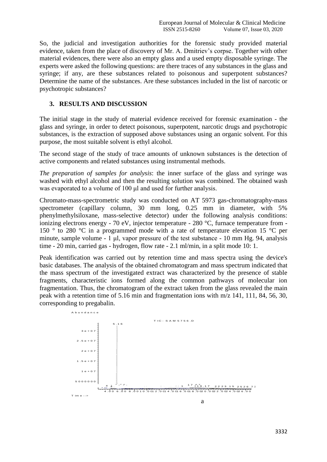So, the judicial and investigation authorities for the forensic study provided material evidence, taken from the place of discovery of Mr. A. Dmitriev's corpse. Together with other material evidences, there were also an empty glass and a used empty disposable syringe. The experts were asked the following questions: are there traces of any substances in the glass and syringe; if any, are these substances related to poisonous and superpotent substances? Determine the name of the substances. Are these substances included in the list of narcotic or psychotropic substances?

#### **3. RESULTS AND DISCUSSION**

The initial stage in the study of material evidence received for forensic examination - the glass and syringe, in order to detect poisonous, superpotent, narcotic drugs and psychotropic substances, is the extraction of supposed above substances using an organic solvent. For this purpose, the most suitable solvent is ethyl alcohol.

The second stage of the study of trace amounts of unknown substances is the detection of active components and related substances using instrumental methods.

*The preparation of samples for analysis*: the inner surface of the glass and syringe was washed with ethyl alcohol and then the resulting solution was combined. The obtained wash was evaporated to a volume of 100 μl and used for further analysis.

Chromato-mass-spectrometric study was conducted on AT 5973 gas-chromatography-mass spectrometer (capillary column, 30 mm long, 0.25 mm in diameter, with 5% phenylmethylsiloxane, mass-selective detector) under the following analysis conditions: ionizing electrons energy - 70 eV, injector temperature - 280 °C, furnace temperature from - 150 ° to 280 °C in a programmed mode with a rate of temperature elevation 15 °C per minute, sample volume - 1 μl, vapor pressure of the test substance - 10 mm Hg. 94, analysis time - 20 min, carried gas - hydrogen, flow rate - 2.1 ml/min, in a split mode 10: 1.

Peak identification was carried out by retention time and mass spectra using the device's basic databases. The analysis of the obtained chromatogram and mass spectrum indicated that the mass spectrum of the investigated extract was characterized by the presence of stable fragments, characteristic ions formed along the common pathways of molecular ion fragmentation. Thus, the chromatogram of the extract taken from the glass revealed the main peak with a retention time of 5.16 min and fragmentation ions with m/z 141, 111, 84, 56, 30, corresponding to pregabalin. A b u n d a n c e

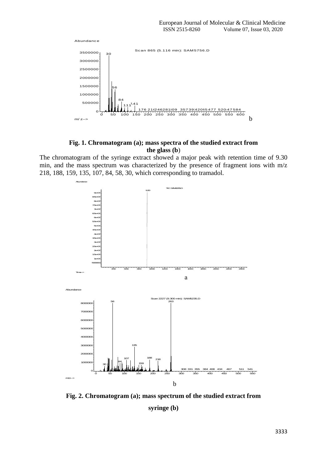

#### **Fig. 1. Chromatogram (a); mass spectra of the studied extract from the glass (b**)

The chromatogram of the syringe extract showed a major peak with retention time of 9.30 min, and the mass spectrum was characterized by the presence of fragment ions with m/z 218, 188, 159, 135, 107, 84, 58, 30, which corresponding to tramadol.



**Fig. 2. Chromatogram (a); mass spectrum of the studied extract from syringe (b)**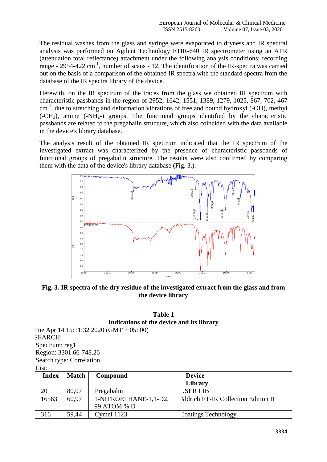The residual washes from the glass and syringe were evaporated to dryness and IR spectral analysis was performed on Agilent Technology FTIR-640 IR spectrometer using an ATR (attenuation total reflectance) attachment under the following analysis conditions: recording range - 2954-422 cm<sup>-1</sup>, number of scans - 12. The identification of the IR-spectra was carried out on the basis of a comparison of the obtained IR spectra with the standard spectra from the database of the IR spectra library of the device.

Herewith, on the IR spectrum of the traces from the glass we obtained IR spectrum with characteristic passbands in the region of 2952, 1642, 1551, 1389, 1279, 1025, 867, 702, 467 cm<sup>-1</sup>, due to stretching and deformation vibrations of free and bound hydroxyl (-OH), methyl  $(-CH_3)$ , amine  $(-NH_{2-})$  groups. The functional groups identified by the characteristic passbands are related to the pregabalin structure, which also coincided with the data available in the device's library database.

The analysis result of the obtained IR spectrum indicated that the IR spectrum of the investigated extract was characterized by the presence of characteristic passbands of functional groups of pregabalin structure. The results were also confirmed by comparing them with the data of the device's library database (Fig. 3.).



**Fig. 3. IR spectra of the dry residue of the investigated extract from the glass and from the device library**

| Table 1                                   |  |
|-------------------------------------------|--|
| Indications of the device and its library |  |

|                          | marculons of the active and his horal t |                                         |                                            |  |  |  |  |
|--------------------------|-----------------------------------------|-----------------------------------------|--------------------------------------------|--|--|--|--|
|                          |                                         | Tue Apr 14 15:11:32 2020 (GMT + 05: 00) |                                            |  |  |  |  |
| <b>SEARCH:</b>           |                                         |                                         |                                            |  |  |  |  |
|                          | Spectrum: reg1                          |                                         |                                            |  |  |  |  |
| Region: 3301.66-748.26   |                                         |                                         |                                            |  |  |  |  |
| Search type: Correlation |                                         |                                         |                                            |  |  |  |  |
| List:                    |                                         |                                         |                                            |  |  |  |  |
| <b>Index</b>             | <b>Match</b>                            | Compound                                | <b>Device</b>                              |  |  |  |  |
|                          |                                         |                                         | Library                                    |  |  |  |  |
| 20                       | 80,07                                   | Pregabalin                              | <b>JSER LIB</b>                            |  |  |  |  |
| 16563                    | 60,97                                   | 1-NITROETHANE-1,1-D2,                   | <b>Aldrich FT-IR Collection Edition II</b> |  |  |  |  |
|                          |                                         | 99 ATOM % D                             |                                            |  |  |  |  |
| 316                      | 59,44                                   | Cymel 1123                              | <b>Coatings Technology</b>                 |  |  |  |  |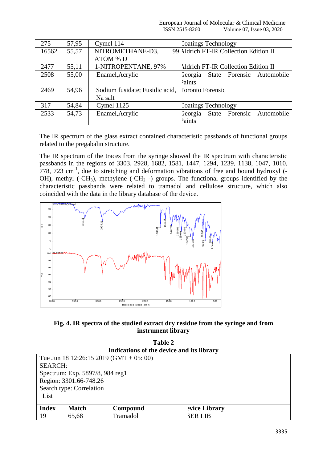| 99 Aldrich FT-IR Collection Edition II     |
|--------------------------------------------|
|                                            |
|                                            |
|                                            |
| <b>Aldrich FT-IR Collection Edition II</b> |
| State Forensic Automobile                  |
|                                            |
|                                            |
|                                            |
|                                            |
| State Forensic Automobile                  |
|                                            |
|                                            |

The IR spectrum of the glass extract contained characteristic passbands of functional groups related to the pregabalin structure.

The IR spectrum of the traces from the syringe showed the IR spectrum with characteristic passbands in the regions of 3303, 2928, 1682, 1581, 1447, 1294, 1239, 1138, 1047, 1010,  $778$ ,  $723$  cm<sup>-1</sup>, due to stretching and deformation vibrations of free and bound hydroxyl (-OH), methyl (-CH<sub>3</sub>), methylene (-CH<sub>2</sub> -) groups. The functional groups identified by the characteristic passbands were related to tramadol and cellulose structure, which also coincided with the data in the library database of the device.



**Fig. 4. IR spectra of the studied extract dry residue from the syringe and from instrument library**

| Table 2<br>Indications of the device and its library |              |          |                |  |  |  |
|------------------------------------------------------|--------------|----------|----------------|--|--|--|
| Tue Jun 18 12:26:15 2019 (GMT + 05: 00)              |              |          |                |  |  |  |
| <b>SEARCH:</b>                                       |              |          |                |  |  |  |
| Spectrum: Exp. 5897/8, 984 reg1                      |              |          |                |  |  |  |
| Region: 3301.66-748.26                               |              |          |                |  |  |  |
| Search type: Correlation                             |              |          |                |  |  |  |
| List                                                 |              |          |                |  |  |  |
| <b>Index</b>                                         | <b>Match</b> |          |                |  |  |  |
|                                                      |              | Compound | evice Library  |  |  |  |
| -19                                                  | 65,68        | Tramadol | <b>SER LIB</b> |  |  |  |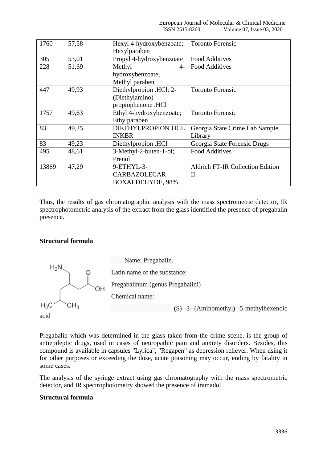| 1760  | 57,58 | Hexyl 4-hydroxybenzoate; | <b>Toronto Forensic</b>                 |
|-------|-------|--------------------------|-----------------------------------------|
|       |       | Hexylparaben             |                                         |
| 305   | 53,01 | Propyl 4-hydroxybenzoate | <b>Food Additives</b>                   |
| 228   | 51,69 | Methyl<br>4-             | <b>Food Additives</b>                   |
|       |       | hydroxybenzoate;         |                                         |
|       |       | Methyl paraben           |                                         |
| 447   | 49,93 | Diethylpropion .HCl; 2-  | <b>Toronto Forensic</b>                 |
|       |       | (Diethylamino)           |                                         |
|       |       | propiophenone .HCl       |                                         |
| 1757  | 49,63 | Ethyl 4-hydroxybenzoate; | <b>Toronto Forensic</b>                 |
|       |       | Ethylparaben             |                                         |
| 83    | 49,25 | DIETHYLPROPION HCL       | Georgia State Crime Lab Sample          |
|       |       | <b>INKBR</b>             | Library                                 |
| 83    | 49,23 | Diethylpropion .HCl      | Georgia State Forensic Drugs            |
| 495   | 48,61 | 3-Methyl-2-buten-1-ol;   | <b>Food Additives</b>                   |
|       |       | Prenol                   |                                         |
| 13869 | 47,29 | 9-ETHYL-3-               | <b>Aldrich FT-IR Collection Edition</b> |
|       |       | <b>CARBAZOLECAR</b>      | П                                       |
|       |       | <b>BOXALDEHYDE, 98%</b>  |                                         |

Thus, the results of gas chromatographic analysis with the mass spectrometric detector, IR spectrophotometric analysis of the extract from the glass identified the presence of pregabalin presence.

#### **Structural formula**



 Name: Pregabalin. Latin name of the substance: Pregabalinum (genus Pregabalini) Chemical name:

(S) -3- (Aminomethyl) -5-methylhexenoic

Pregabalin which was determined in the glass taken from the crime scene, is the group of antiepileptic drugs, used in cases of neuropathic pain and anxiety disorders. Besides, this compound is available in capsules "Lyrica", "Regapen" as depression reliever. When using it for other purposes or exceeding the dose, acute poisoning may occur, ending by fatality in some cases.

The analysis of the syringe extract using gas chromatography with the mass spectrometric detector, and IR spectrophotometry showed the presence of tramadol.

# **Structural formula**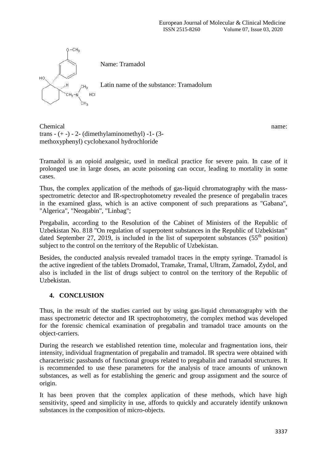

Chemical name: trans  $- (+ -) - 2 - (dimethylaminometryl) - 1 - (3$ methoxyphenyl) cyclohexanol hydrochloride

Tramadol is an opioid analgesic, used in medical practice for severe pain. In case of it prolonged use in large doses, an acute poisoning can occur, leading to mortality in some cases.

Thus, the complex application of the methods of gas-liquid chromatography with the massspectrometric detector and IR-spectrophotometry revealed the presence of pregabalin traces in the examined glass, which is an active component of such preparations as "Gabana", "Algerica", "Neogabin", "Linbag";

Pregabalin, according to the Resolution of the Cabinet of Ministers of the Republic of Uzbekistan No. 818 "On regulation of superpotent substances in the Republic of Uzbekistan" dated September 27, 2019, is included in the list of superpotent substances  $(55<sup>th</sup>$  position) subject to the control on the territory of the Republic of Uzbekistan.

Besides, the conducted analysis revealed tramadol traces in the empty syringe. Tramadol is the active ingredient of the tablets Dromadol, Tramake, Tramal, Ultram, Zamadol, Zydol, and also is included in the list of drugs subject to control on the territory of the Republic of Uzbekistan.

## **4. CONCLUSION**

Thus, in the result of the studies carried out by using gas-liquid chromatography with the mass spectrometric detector and IR spectrophotometry, the complex method was developed for the forensic chemical examination of pregabalin and tramadol trace amounts on the object-carriers.

During the research we established retention time, molecular and fragmentation ions, their intensity, individual fragmentation of pregabalin and tramadol. IR spectra were obtained with characteristic passbands of functional groups related to pregabalin and tramadol structures. It is recommended to use these parameters for the analysis of trace amounts of unknown substances, as well as for establishing the generic and group assignment and the source of origin.

It has been proven that the complex application of these methods, which have high sensitivity, speed and simplicity in use, affords to quickly and accurately identify unknown substances in the composition of micro-objects.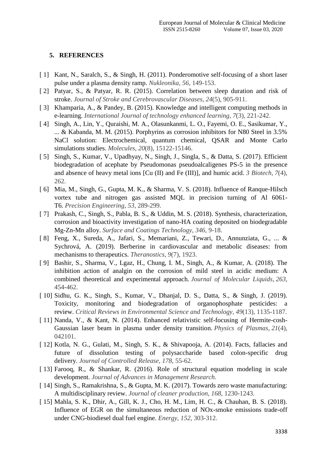#### **5. REFERENCES**

- [1] Kant, N., Saralch, S., & Singh, H. (2011). Ponderomotive self-focusing of a short laser pulse under a plasma density ramp. *Nukleonika*, *56*, 149-153.
- [ 2] Patyar, S., & Patyar, R. R. (2015). Correlation between sleep duration and risk of stroke. *Journal of Stroke and Cerebrovascular Diseases*, *24*(5), 905-911.
- [ 3] Khamparia, A., & Pandey, B. (2015). Knowledge and intelligent computing methods in e-learning. *International Journal of technology enhanced learning*, *7*(3), 221-242.
- [ 4] Singh, A., Lin, Y., Quraishi, M. A., Olasunkanmi, L. O., Fayemi, O. E., Sasikumar, Y., ... & Kabanda, M. M. (2015). Porphyrins as corrosion inhibitors for N80 Steel in 3.5% NaCl solution: Electrochemical, quantum chemical, QSAR and Monte Carlo simulations studies. *Molecules*, *20*(8), 15122-15146.
- [ 5] Singh, S., Kumar, V., Upadhyay, N., Singh, J., Singla, S., & Datta, S. (2017). Efficient biodegradation of acephate by Pseudomonas pseudoalcaligenes PS-5 in the presence and absence of heavy metal ions [Cu (II) and Fe (III)], and humic acid. *3 Biotech*, *7*(4), 262.
- [ 6] Mia, M., Singh, G., Gupta, M. K., & Sharma, V. S. (2018). Influence of Ranque-Hilsch vortex tube and nitrogen gas assisted MQL in precision turning of Al 6061- T6. *Precision Engineering*, *53*, 289-299.
- [ 7] Prakash, C., Singh, S., Pabla, B. S., & Uddin, M. S. (2018). Synthesis, characterization, corrosion and bioactivity investigation of nano-HA coating deposited on biodegradable Mg-Zn-Mn alloy. *Surface and Coatings Technology*, *346*, 9-18.
- [ 8] Feng, X., Sureda, A., Jafari, S., Memariani, Z., Tewari, D., Annunziata, G., ... & Sychrová, A. (2019). Berberine in cardiovascular and metabolic diseases: from mechanisms to therapeutics. *Theranostics*, *9*(7), 1923.
- [ 9] Bashir, S., Sharma, V., Lgaz, H., Chung, I. M., Singh, A., & Kumar, A. (2018). The inhibition action of analgin on the corrosion of mild steel in acidic medium: A combined theoretical and experimental approach. *Journal of Molecular Liquids*, *263*, 454-462.
- [ 10] Sidhu, G. K., Singh, S., Kumar, V., Dhanjal, D. S., Datta, S., & Singh, J. (2019). Toxicity, monitoring and biodegradation of organophosphate pesticides: a review. *Critical Reviews in Environmental Science and Technology*, *49*(13), 1135-1187.
- [ 11] Nanda, V., & Kant, N. (2014). Enhanced relativistic self-focusing of Hermite-cosh-Gaussian laser beam in plasma under density transition. *Physics of Plasmas*, *21*(4), 042101.
- [ 12] Kotla, N. G., Gulati, M., Singh, S. K., & Shivapooja, A. (2014). Facts, fallacies and future of dissolution testing of polysaccharide based colon-specific drug delivery. *Journal of Controlled Release*, *178*, 55-62.
- [ 13] Farooq, R., & Shankar, R. (2016). Role of structural equation modeling in scale development. *Journal of Advances in Management Research*.
- [ 14] Singh, S., Ramakrishna, S., & Gupta, M. K. (2017). Towards zero waste manufacturing: A multidisciplinary review. *Journal of cleaner production*, *168*, 1230-1243.
- [ 15] Mahla, S. K., Dhir, A., Gill, K. J., Cho, H. M., Lim, H. C., & Chauhan, B. S. (2018). Influence of EGR on the simultaneous reduction of NOx-smoke emissions trade-off under CNG-biodiesel dual fuel engine. *Energy*, *152*, 303-312.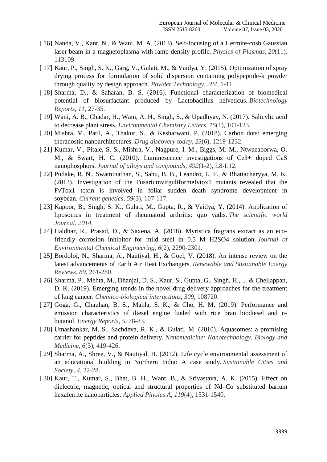- [ 16] Nanda, V., Kant, N., & Wani, M. A. (2013). Self-focusing of a Hermite-cosh Gaussian laser beam in a magnetoplasma with ramp density profile. *Physics of Plasmas*, *20*(11), 113109.
- [ 17] Kaur, P., Singh, S. K., Garg, V., Gulati, M., & Vaidya, Y. (2015). Optimization of spray drying process for formulation of solid dispersion containing polypeptide-k powder through quality by design approach. *Powder Technology*, *284*, 1-11.
- [ 18] Sharma, D., & Saharan, B. S. (2016). Functional characterization of biomedical potential of biosurfactant produced by Lactobacillus helveticus. *Biotechnology Reports*, *11*, 27-35.
- [ 19] Wani, A. B., Chadar, H., Wani, A. H., Singh, S., & Upadhyay, N. (2017). Salicylic acid to decrease plant stress. *Environmental Chemistry Letters*, *15*(1), 101-123.
- [ 20] Mishra, V., Patil, A., Thakur, S., & Kesharwani, P. (2018). Carbon dots: emerging theranostic nanoarchitectures. *Drug discovery today*, *23*(6), 1219-1232.
- [ 21] Kumar, V., Pitale, S. S., Mishra, V., Nagpure, I. M., Biggs, M. M., Ntwaeaborwa, O. M., & Swart, H. C. (2010). Luminescence investigations of Ce3+ doped CaS nanophosphors. *Journal of alloys and compounds*, *492*(1-2), L8-L12.
- [ 22] Pudake, R. N., Swaminathan, S., Sahu, B. B., Leandro, L. F., & Bhattacharyya, M. K. (2013). Investigation of the Fusariumvirguliformefvtox1 mutants revealed that the FvTox1 toxin is involved in foliar sudden death syndrome development in soybean. *Current genetics*, *59*(3), 107-117.
- [ 23] Kapoor, B., Singh, S. K., Gulati, M., Gupta, R., & Vaidya, Y. (2014). Application of liposomes in treatment of rheumatoid arthritis: quo vadis. *The scientific world Journal*, *2014*.
- [ 24] Haldhar, R., Prasad, D., & Saxena, A. (2018). Myristica fragrans extract as an ecofriendly corrosion inhibitor for mild steel in 0.5 M H2SO4 solution. *Journal of Environmental Chemical Engineering*, *6*(2), 2290-2301.
- [ 25] Bordoloi, N., Sharma, A., Nautiyal, H., & Goel, V. (2018). An intense review on the latest advancements of Earth Air Heat Exchangers. *Renewable and Sustainable Energy Reviews*, *89*, 261-280.
- [ 26] Sharma, P., Mehta, M., Dhanjal, D. S., Kaur, S., Gupta, G., Singh, H., ... & Chellappan, D. K. (2019). Emerging trends in the novel drug delivery approaches for the treatment of lung cancer. *Chemico-biological interactions*, *309*, 108720.
- [ 27] Goga, G., Chauhan, B. S., Mahla, S. K., & Cho, H. M. (2019). Performance and emission characteristics of diesel engine fueled with rice bran biodiesel and nbutanol. *Energy Reports*, *5*, 78-83.
- [ 28] Umashankar, M. S., Sachdeva, R. K., & Gulati, M. (2010). Aquasomes: a promising carrier for peptides and protein delivery. *Nanomedicine: Nanotechnology, Biology and Medicine*, *6*(3), 419-426.
- [ 29] Sharma, A., Shree, V., & Nautiyal, H. (2012). Life cycle environmental assessment of an educational building in Northern India: A case study. *Sustainable Cities and Society*, *4*, 22-28.
- [ 30] Kaur, T., Kumar, S., Bhat, B. H., Want, B., & Srivastava, A. K. (2015). Effect on dielectric, magnetic, optical and structural properties of Nd–Co substituted barium hexaferrite nanoparticles. *Applied Physics A*, *119*(4), 1531-1540.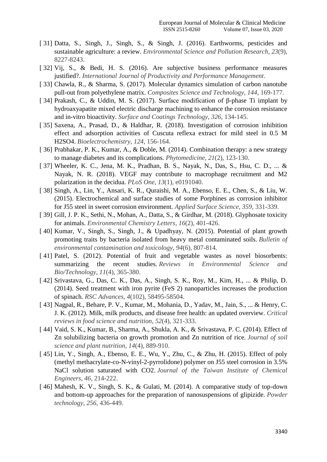- [ 31] Datta, S., Singh, J., Singh, S., & Singh, J. (2016). Earthworms, pesticides and sustainable agriculture: a review. *Environmental Science and Pollution Research*, *23*(9), 8227-8243.
- [ 32] Vij, S., & Bedi, H. S. (2016). Are subjective business performance measures justified?. *International Journal of Productivity and Performance Management*.
- [33] Chawla, R., & Sharma, S. (2017). Molecular dynamics simulation of carbon nanotube pull-out from polyethylene matrix. *Composites Science and Technology*, *144*, 169-177.
- [ 34] Prakash, C., & Uddin, M. S. (2017). Surface modification of β-phase Ti implant by hydroaxyapatite mixed electric discharge machining to enhance the corrosion resistance and in-vitro bioactivity. *Surface and Coatings Technology*, *326*, 134-145.
- [ 35] Saxena, A., Prasad, D., & Haldhar, R. (2018). Investigation of corrosion inhibition effect and adsorption activities of Cuscuta reflexa extract for mild steel in 0.5 M H2SO4. *Bioelectrochemistry*, *124*, 156-164.
- [ 36] Prabhakar, P. K., Kumar, A., & Doble, M. (2014). Combination therapy: a new strategy to manage diabetes and its complications. *Phytomedicine*, *21*(2), 123-130.
- [ 37] Wheeler, K. C., Jena, M. K., Pradhan, B. S., Nayak, N., Das, S., Hsu, C. D., ... & Nayak, N. R. (2018). VEGF may contribute to macrophage recruitment and M2 polarization in the decidua. *PLoS One*, *13*(1), e0191040.
- [ 38] Singh, A., Lin, Y., Ansari, K. R., Quraishi, M. A., Ebenso, E. E., Chen, S., & Liu, W. (2015). Electrochemical and surface studies of some Porphines as corrosion inhibitor for J55 steel in sweet corrosion environment. *Applied Surface Science*, *359*, 331-339.
- [ 39] Gill, J. P. K., Sethi, N., Mohan, A., Datta, S., & Girdhar, M. (2018). Glyphosate toxicity for animals. *Environmental Chemistry Letters*, *16*(2), 401-426.
- [ 40] Kumar, V., Singh, S., Singh, J., & Upadhyay, N. (2015). Potential of plant growth promoting traits by bacteria isolated from heavy metal contaminated soils. *Bulletin of environmental contamination and toxicology*, *94*(6), 807-814.
- [ 41] Patel, S. (2012). Potential of fruit and vegetable wastes as novel biosorbents: summarizing the recent studies. *Reviews in Environmental Science and Bio/Technology*, *11*(4), 365-380.
- [ 42] Srivastava, G., Das, C. K., Das, A., Singh, S. K., Roy, M., Kim, H., ... & Philip, D. (2014). Seed treatment with iron pyrite (FeS 2) nanoparticles increases the production of spinach. *RSC Advances*, *4*(102), 58495-58504.
- [ 43] Nagpal, R., Behare, P. V., Kumar, M., Mohania, D., Yadav, M., Jain, S., ... & Henry, C. J. K. (2012). Milk, milk products, and disease free health: an updated overview. *Critical reviews in food science and nutrition*, *52*(4), 321-333.
- [ 44] Vaid, S. K., Kumar, B., Sharma, A., Shukla, A. K., & Srivastava, P. C. (2014). Effect of Zn solubilizing bacteria on growth promotion and Zn nutrition of rice. *Journal of soil science and plant nutrition*, *14*(4), 889-910.
- [ 45] Lin, Y., Singh, A., Ebenso, E. E., Wu, Y., Zhu, C., & Zhu, H. (2015). Effect of poly (methyl methacrylate-co-N-vinyl-2-pyrrolidone) polymer on J55 steel corrosion in 3.5% NaCl solution saturated with CO2. *Journal of the Taiwan Institute of Chemical Engineers*, *46*, 214-222.
- [ 46] Mahesh, K. V., Singh, S. K., & Gulati, M. (2014). A comparative study of top-down and bottom-up approaches for the preparation of nanosuspensions of glipizide. *Powder technology*, *256*, 436-449.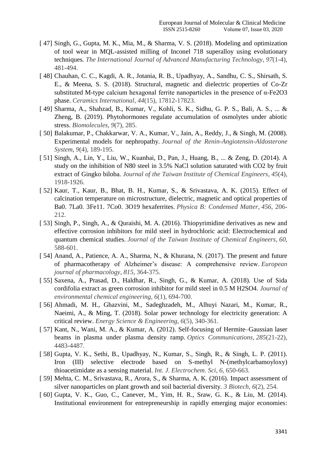- [ 47] Singh, G., Gupta, M. K., Mia, M., & Sharma, V. S. (2018). Modeling and optimization of tool wear in MQL-assisted milling of Inconel 718 superalloy using evolutionary techniques. *The International Journal of Advanced Manufacturing Technology*, *97*(1-4), 481-494.
- [ 48] Chauhan, C. C., Kagdi, A. R., Jotania, R. B., Upadhyay, A., Sandhu, C. S., Shirsath, S. E., & Meena, S. S. (2018). Structural, magnetic and dielectric properties of Co-Zr substituted M-type calcium hexagonal ferrite nanoparticles in the presence of α-Fe2O3 phase. *Ceramics International*, *44*(15), 17812-17823.
- [ 49] Sharma, A., Shahzad, B., Kumar, V., Kohli, S. K., Sidhu, G. P. S., Bali, A. S., ... & Zheng, B. (2019). Phytohormones regulate accumulation of osmolytes under abiotic stress. *Biomolecules*, *9*(7), 285.
- [ 50] Balakumar, P., Chakkarwar, V. A., Kumar, V., Jain, A., Reddy, J., & Singh, M. (2008). Experimental models for nephropathy. *Journal of the Renin-Angiotensin-Aldosterone System*, *9*(4), 189-195.
- [ 51] Singh, A., Lin, Y., Liu, W., Kuanhai, D., Pan, J., Huang, B., ... & Zeng, D. (2014). A study on the inhibition of N80 steel in 3.5% NaCl solution saturated with CO2 by fruit extract of Gingko biloba. *Journal of the Taiwan Institute of Chemical Engineers*, *45*(4), 1918-1926.
- [ 52] Kaur, T., Kaur, B., Bhat, B. H., Kumar, S., & Srivastava, A. K. (2015). Effect of calcination temperature on microstructure, dielectric, magnetic and optical properties of Ba0. 7La0. 3Fe11. 7Co0. 3O19 hexaferrites. *Physica B: Condensed Matter*, *456*, 206- 212.
- [ 53] Singh, P., Singh, A., & Quraishi, M. A. (2016). Thiopyrimidine derivatives as new and effective corrosion inhibitors for mild steel in hydrochloric acid: Electrochemical and quantum chemical studies. *Journal of the Taiwan Institute of Chemical Engineers*, *60*, 588-601.
- [ 54] Anand, A., Patience, A. A., Sharma, N., & Khurana, N. (2017). The present and future of pharmacotherapy of Alzheimer's disease: A comprehensive review. *European journal of pharmacology*, *815*, 364-375.
- [ 55] Saxena, A., Prasad, D., Haldhar, R., Singh, G., & Kumar, A. (2018). Use of Sida cordifolia extract as green corrosion inhibitor for mild steel in 0.5 M H2SO4. *Journal of environmental chemical engineering*, *6*(1), 694-700.
- [ 56] Ahmadi, M. H., Ghazvini, M., Sadeghzadeh, M., Alhuyi Nazari, M., Kumar, R., Naeimi, A., & Ming, T. (2018). Solar power technology for electricity generation: A critical review. *Energy Science & Engineering*, *6*(5), 340-361.
- [ 57] Kant, N., Wani, M. A., & Kumar, A. (2012). Self-focusing of Hermite–Gaussian laser beams in plasma under plasma density ramp. *Optics Communications*, *285*(21-22), 4483-4487.
- [ 58] Gupta, V. K., Sethi, B., Upadhyay, N., Kumar, S., Singh, R., & Singh, L. P. (2011). Iron (III) selective electrode based on S-methyl N-(methylcarbamoyloxy) thioacetimidate as a sensing material. *Int. J. Electrochem. Sci*, *6*, 650-663.
- [ 59] Mehta, C. M., Srivastava, R., Arora, S., & Sharma, A. K. (2016). Impact assessment of silver nanoparticles on plant growth and soil bacterial diversity. *3 Biotech*, *6*(2), 254.
- [ 60] Gupta, V. K., Guo, C., Canever, M., Yim, H. R., Sraw, G. K., & Liu, M. (2014). Institutional environment for entrepreneurship in rapidly emerging major economies: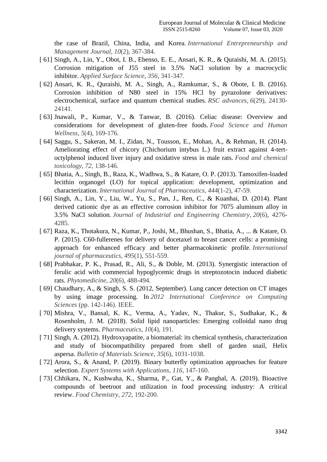the case of Brazil, China, India, and Korea. *International Entrepreneurship and Management Journal*, *10*(2), 367-384.

- [ 61] Singh, A., Lin, Y., Obot, I. B., Ebenso, E. E., Ansari, K. R., & Quraishi, M. A. (2015). Corrosion mitigation of J55 steel in 3.5% NaCl solution by a macrocyclic inhibitor. *Applied Surface Science*, *356*, 341-347.
- [ 62] Ansari, K. R., Quraishi, M. A., Singh, A., Ramkumar, S., & Obote, I. B. (2016). Corrosion inhibition of N80 steel in 15% HCl by pyrazolone derivatives: electrochemical, surface and quantum chemical studies. *RSC advances*, *6*(29), 24130- 24141.
- [ 63] Jnawali, P., Kumar, V., & Tanwar, B. (2016). Celiac disease: Overview and considerations for development of gluten-free foods. *Food Science and Human Wellness*, *5*(4), 169-176.
- [ 64] Saggu, S., Sakeran, M. I., Zidan, N., Tousson, E., Mohan, A., & Rehman, H. (2014). Ameliorating effect of chicory (Chichorium intybus L.) fruit extract against 4-tertoctylphenol induced liver injury and oxidative stress in male rats. *Food and chemical toxicology*, *72*, 138-146.
- [ 65] Bhatia, A., Singh, B., Raza, K., Wadhwa, S., & Katare, O. P. (2013). Tamoxifen-loaded lecithin organogel (LO) for topical application: development, optimization and characterization. *International Journal of Pharmaceutics*, *444*(1-2), 47-59.
- [ 66] Singh, A., Lin, Y., Liu, W., Yu, S., Pan, J., Ren, C., & Kuanhai, D. (2014). Plant derived cationic dye as an effective corrosion inhibitor for 7075 aluminum alloy in 3.5% NaCl solution. *Journal of Industrial and Engineering Chemistry*, *20*(6), 4276- 4285.
- [ 67] Raza, K., Thotakura, N., Kumar, P., Joshi, M., Bhushan, S., Bhatia, A., ... & Katare, O. P. (2015). C60-fullerenes for delivery of docetaxel to breast cancer cells: a promising approach for enhanced efficacy and better pharmacokinetic profile. *International journal of pharmaceutics*, *495*(1), 551-559.
- [ 68] Prabhakar, P. K., Prasad, R., Ali, S., & Doble, M. (2013). Synergistic interaction of ferulic acid with commercial hypoglycemic drugs in streptozotocin induced diabetic rats. *Phytomedicine*, *20*(6), 488-494.
- [ 69] Chaudhary, A., & Singh, S. S. (2012, September). Lung cancer detection on CT images by using image processing. In *2012 International Conference on Computing Sciences* (pp. 142-146). IEEE.
- [ 70] Mishra, V., Bansal, K. K., Verma, A., Yadav, N., Thakur, S., Sudhakar, K., & Rosenholm, J. M. (2018). Solid lipid nanoparticles: Emerging colloidal nano drug delivery systems. *Pharmaceutics*, *10*(4), 191.
- [ 71] Singh, A. (2012). Hydroxyapatite, a biomaterial: its chemical synthesis, characterization and study of biocompatibility prepared from shell of garden snail, Helix aspersa. *Bulletin of Materials Science*, *35*(6), 1031-1038.
- [ 72] Arora, S., & Anand, P. (2019). Binary butterfly optimization approaches for feature selection. *Expert Systems with Applications*, *116*, 147-160.
- [ 73] Chhikara, N., Kushwaha, K., Sharma, P., Gat, Y., & Panghal, A. (2019). Bioactive compounds of beetroot and utilization in food processing industry: A critical review. *Food Chemistry*, *272*, 192-200.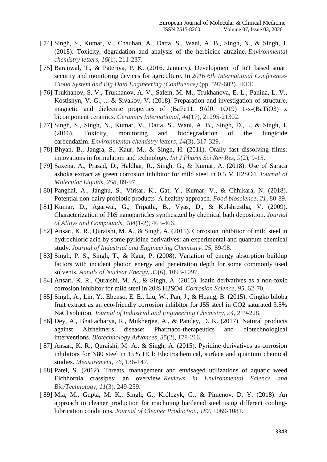- [ 74] Singh, S., Kumar, V., Chauhan, A., Datta, S., Wani, A. B., Singh, N., & Singh, J. (2018). Toxicity, degradation and analysis of the herbicide atrazine. *Environmental chemistry letters*, *16*(1), 211-237.
- [ 75] Baranwal, T., & Pateriya, P. K. (2016, January). Development of IoT based smart security and monitoring devices for agriculture. In *2016 6th International Conference-Cloud System and Big Data Engineering (Confluence)* (pp. 597-602). IEEE.
- [ 76] Trukhanov, S. V., Trukhanov, A. V., Salem, M. M., Trukhanova, E. L., Panina, L. V., Kostishyn, V. G., ... & Sivakov, V. (2018). Preparation and investigation of structure, magnetic and dielectric properties of (BaFe11. 9Al0. 1O19) 1-x-(BaTiO3) x bicomponent ceramics. *Ceramics International*, *44*(17), 21295-21302.
- [ 77] Singh, S., Singh, N., Kumar, V., Datta, S., Wani, A. B., Singh, D., ... & Singh, J. (2016). Toxicity, monitoring and biodegradation of the fungicide carbendazim. *Environmental chemistry letters*, *14*(3), 317-329.
- [ 78] Bhyan, B., Jangra, S., Kaur, M., & Singh, H. (2011). Orally fast dissolving films: innovations in formulation and technology. *Int J Pharm Sci Rev Res*, *9*(2), 9-15.
- [ 79] Saxena, A., Prasad, D., Haldhar, R., Singh, G., & Kumar, A. (2018). Use of Saraca ashoka extract as green corrosion inhibitor for mild steel in 0.5 M H2SO4. *Journal of Molecular Liquids*, *258*, 89-97.
- [ 80] Panghal, A., Janghu, S., Virkar, K., Gat, Y., Kumar, V., & Chhikara, N. (2018). Potential non-dairy probiotic products–A healthy approach. *Food bioscience*, *21*, 80-89.
- [ 81] Kumar, D., Agarwal, G., Tripathi, B., Vyas, D., & Kulshrestha, V. (2009). Characterization of PbS nanoparticles synthesized by chemical bath deposition. *Journal of Alloys and Compounds*, *484*(1-2), 463-466.
- [ 82] Ansari, K. R., Quraishi, M. A., & Singh, A. (2015). Corrosion inhibition of mild steel in hydrochloric acid by some pyridine derivatives: an experimental and quantum chemical study. *Journal of Industrial and Engineering Chemistry*, *25*, 89-98.
- [ 83] Singh, P. S., Singh, T., & Kaur, P. (2008). Variation of energy absorption buildup factors with incident photon energy and penetration depth for some commonly used solvents. *Annals of Nuclear Energy*, *35*(6), 1093-1097.
- [ 84] Ansari, K. R., Quraishi, M. A., & Singh, A. (2015). Isatin derivatives as a non-toxic corrosion inhibitor for mild steel in 20% H2SO4. *Corrosion Science*, *95*, 62-70.
- [ 85] Singh, A., Lin, Y., Ebenso, E. E., Liu, W., Pan, J., & Huang, B. (2015). Gingko biloba fruit extract as an eco-friendly corrosion inhibitor for J55 steel in CO2 saturated 3.5% NaCl solution. *Journal of Industrial and Engineering Chemistry*, *24*, 219-228.
- [ 86] Dey, A., Bhattacharya, R., Mukherjee, A., & Pandey, D. K. (2017). Natural products against Alzheimer's disease: Pharmaco-therapeutics and biotechnological interventions. *Biotechnology Advances*, *35*(2), 178-216.
- [ 87] Ansari, K. R., Quraishi, M. A., & Singh, A. (2015). Pyridine derivatives as corrosion inhibitors for N80 steel in 15% HCl: Electrochemical, surface and quantum chemical studies. *Measurement*, *76*, 136-147.
- [88] Patel, S. (2012). Threats, management and envisaged utilizations of aquatic weed Eichhornia crassipes: an overview. *Reviews in Environmental Science and Bio/Technology*, *11*(3), 249-259.
- [ 89] Mia, M., Gupta, M. K., Singh, G., Królczyk, G., & Pimenov, D. Y. (2018). An approach to cleaner production for machining hardened steel using different coolinglubrication conditions. *Journal of Cleaner Production*, *187*, 1069-1081.